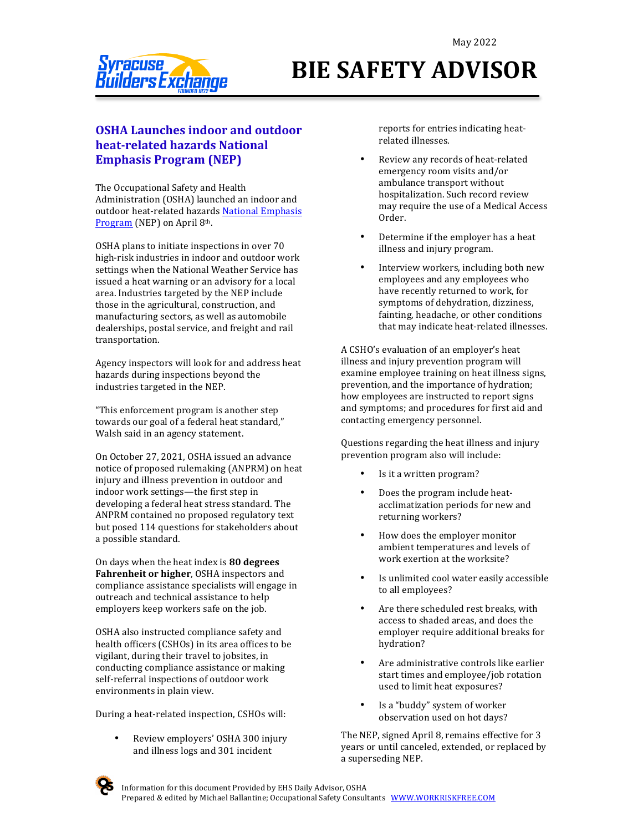

# **BIE SAFETY ADVISOR**

#### **OSHA Launches indoor and outdoor heat-related hazards National Emphasis Program (NEP)**

The Occupational Safety and Health Administration (OSHA) launched an indoor and outdoor heat-related hazards National Emphasis Program (NEP) on April 8th.

OSHA plans to initiate inspections in over 70 high-risk industries in indoor and outdoor work settings when the National Weather Service has issued a heat warning or an advisory for a local area. Industries targeted by the NEP include those in the agricultural, construction, and manufacturing sectors, as well as automobile dealerships, postal service, and freight and rail transportation.

Agency inspectors will look for and address heat hazards during inspections beyond the industries targeted in the NEP.

"This enforcement program is another step towards our goal of a federal heat standard," Walsh said in an agency statement.

On October 27, 2021, OSHA issued an advance notice of proposed rulemaking (ANPRM) on heat injury and illness prevention in outdoor and indoor work settings—the first step in developing a federal heat stress standard. The ANPRM contained no proposed regulatory text but posed 114 questions for stakeholders about a possible standard.

On days when the heat index is 80 degrees **Fahrenheit or higher**, OSHA inspectors and compliance assistance specialists will engage in outreach and technical assistance to help employers keep workers safe on the job.

OSHA also instructed compliance safety and health officers (CSHOs) in its area offices to be vigilant, during their travel to jobsites, in conducting compliance assistance or making self-referral inspections of outdoor work environments in plain view.

During a heat-related inspection, CSHOs will:

• Review employers' OSHA 300 injury and illness logs and 301 incident

reports for entries indicating heatrelated illnesses.

- Review any records of heat-related emergency room visits and/or ambulance transport without hospitalization. Such record review may require the use of a Medical Access Order.
- Determine if the employer has a heat illness and injury program.
- Interview workers, including both new employees and any employees who have recently returned to work, for symptoms of dehydration, dizziness, fainting, headache, or other conditions that may indicate heat-related illnesses.

A CSHO's evaluation of an employer's heat illness and injury prevention program will examine employee training on heat illness signs, prevention, and the importance of hydration; how employees are instructed to report signs and symptoms; and procedures for first aid and contacting emergency personnel.

Questions regarding the heat illness and injury prevention program also will include:

- Is it a written program?
- Does the program include heatacclimatization periods for new and returning workers?
- How does the employer monitor ambient temperatures and levels of work exertion at the worksite?
- Is unlimited cool water easily accessible to all employees?
- Are there scheduled rest breaks, with access to shaded areas, and does the employer require additional breaks for hydration?
- Are administrative controls like earlier start times and employee/job rotation used to limit heat exposures?
- Is a "buddy" system of worker observation used on hot days?

The NEP, signed April 8, remains effective for 3 years or until canceled, extended, or replaced by a superseding NEP.